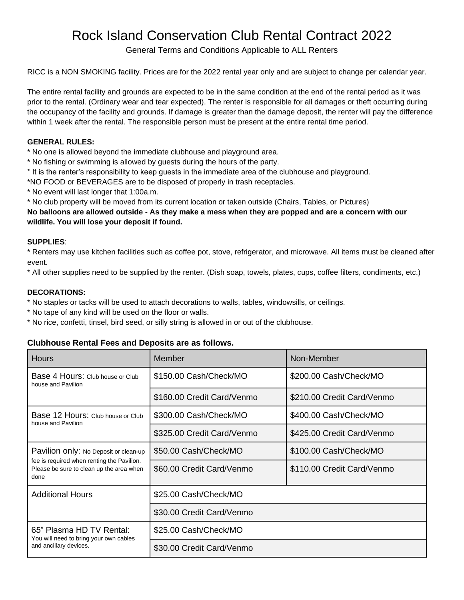# Rock Island Conservation Club Rental Contract 2022

General Terms and Conditions Applicable to ALL Renters

RICC is a NON SMOKING facility. Prices are for the 2022 rental year only and are subject to change per calendar year.

The entire rental facility and grounds are expected to be in the same condition at the end of the rental period as it was prior to the rental. (Ordinary wear and tear expected). The renter is responsible for all damages or theft occurring during the occupancy of the facility and grounds. If damage is greater than the damage deposit, the renter will pay the difference within 1 week after the rental. The responsible person must be present at the entire rental time period.

#### **GENERAL RULES:**

\* No one is allowed beyond the immediate clubhouse and playground area.

\* No fishing or swimming is allowed by guests during the hours of the party.

\* It is the renter's responsibility to keep guests in the immediate area of the clubhouse and playground.

\*NO FOOD or BEVERAGES are to be disposed of properly in trash receptacles.

\* No event will last longer that 1:00a.m.

\* No club property will be moved from its current location or taken outside (Chairs, Tables, or Pictures)

**No balloons are allowed outside - As they make a mess when they are popped and are a concern with our wildlife. You will lose your deposit if found.**

#### **SUPPLIES**:

\* Renters may use kitchen facilities such as coffee pot, stove, refrigerator, and microwave. All items must be cleaned after event.

\* All other supplies need to be supplied by the renter. (Dish soap, towels, plates, cups, coffee filters, condiments, etc.)

#### **DECORATIONS:**

\* No staples or tacks will be used to attach decorations to walls, tables, windowsills, or ceilings.

- \* No tape of any kind will be used on the floor or walls.
- \* No rice, confetti, tinsel, bird seed, or silly string is allowed in or out of the clubhouse.

### **Clubhouse Rental Fees and Deposits are as follows.**

| <b>Hours</b>                                                                                   | Member                     | Non-Member                 |  |
|------------------------------------------------------------------------------------------------|----------------------------|----------------------------|--|
| Base 4 Hours: Club house or Club<br>house and Pavilion                                         | \$150.00 Cash/Check/MO     | \$200.00 Cash/Check/MO     |  |
|                                                                                                | \$160.00 Credit Card/Venmo | \$210.00 Credit Card/Venmo |  |
| Base 12 Hours: Club house or Club<br>house and Pavilion                                        | \$300.00 Cash/Check/MO     | \$400.00 Cash/Check/MO     |  |
|                                                                                                | \$325.00 Credit Card/Venmo | \$425.00 Credit Card/Venmo |  |
| Pavilion only: No Deposit or clean-up                                                          | \$50.00 Cash/Check/MO      | \$100.00 Cash/Check/MO     |  |
| fee is required when renting the Pavilion.<br>Please be sure to clean up the area when<br>done | \$60.00 Credit Card/Venmo  | \$110.00 Credit Card/Venmo |  |
| <b>Additional Hours</b>                                                                        | \$25.00 Cash/Check/MO      |                            |  |
|                                                                                                | \$30.00 Credit Card/Venmo  |                            |  |
| 65" Plasma HD TV Rental:<br>You will need to bring your own cables                             | \$25.00 Cash/Check/MO      |                            |  |
| and ancillary devices.                                                                         | \$30.00 Credit Card/Venmo  |                            |  |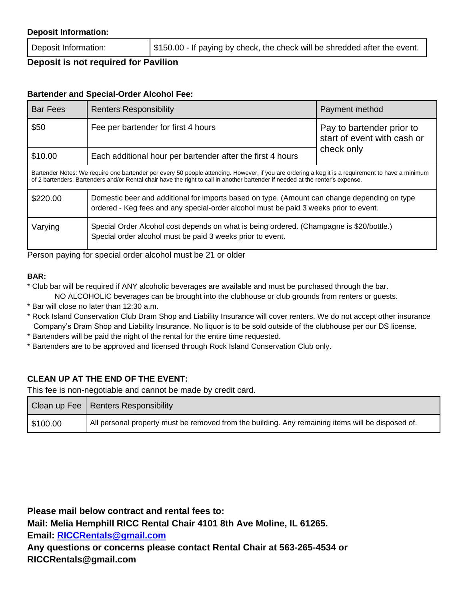#### **Deposit Information:**

Deposit Information:  $\frac{1}{3150.00}$  - If paying by check, the check will be shredded after the event.

# **Deposit is not required for Pavilion**

## **Bartender and Special-Order Alcohol Fee:**

| <b>Bar Fees</b>                                                                                                                                                                                                                                                                     | <b>Renters Responsibility</b>                                                                                                                                                         | Payment method                                                         |  |  |
|-------------------------------------------------------------------------------------------------------------------------------------------------------------------------------------------------------------------------------------------------------------------------------------|---------------------------------------------------------------------------------------------------------------------------------------------------------------------------------------|------------------------------------------------------------------------|--|--|
| \$50                                                                                                                                                                                                                                                                                | Fee per bartender for first 4 hours                                                                                                                                                   | Pay to bartender prior to<br>start of event with cash or<br>check only |  |  |
| \$10.00                                                                                                                                                                                                                                                                             | Each additional hour per bartender after the first 4 hours                                                                                                                            |                                                                        |  |  |
| Bartender Notes: We require one bartender per every 50 people attending. However, if you are ordering a keg it is a requirement to have a minimum<br>of 2 bartenders. Bartenders and/or Rental chair have the right to call in another bartender if needed at the renter's expense. |                                                                                                                                                                                       |                                                                        |  |  |
| \$220.00                                                                                                                                                                                                                                                                            | Domestic beer and additional for imports based on type. (Amount can change depending on type<br>ordered - Keg fees and any special-order alcohol must be paid 3 weeks prior to event. |                                                                        |  |  |
| Varying                                                                                                                                                                                                                                                                             | Special Order Alcohol cost depends on what is being ordered. (Champagne is \$20/bottle.)<br>Special order alcohol must be paid 3 weeks prior to event.                                |                                                                        |  |  |

Person paying for special order alcohol must be 21 or older

#### **BAR:**

\* Club bar will be required if ANY alcoholic beverages are available and must be purchased through the bar. NO ALCOHOLIC beverages can be brought into the clubhouse or club grounds from renters or guests.

- \* Bar will close no later than 12:30 a.m.
- \* Rock Island Conservation Club Dram Shop and Liability Insurance will cover renters. We do not accept other insurance Company's Dram Shop and Liability Insurance. No liquor is to be sold outside of the clubhouse per our DS license.
- \* Bartenders will be paid the night of the rental for the entire time requested.
- \* Bartenders are to be approved and licensed through Rock Island Conservation Club only.

# **CLEAN UP AT THE END OF THE EVENT:**

This fee is non-negotiable and cannot be made by credit card.

|          | Clean up Fee   Renters Responsibility                                                             |
|----------|---------------------------------------------------------------------------------------------------|
| \$100.00 | All personal property must be removed from the building. Any remaining items will be disposed of. |

**Please mail below contract and rental fees to:** 

**Mail: Melia Hemphill RICC Rental Chair 4101 8th Ave Moline, IL 61265. Email: [RICCRentals@gmail.com](mailto:RICCRentals@gmail.com)**

**Any questions or concerns please contact Rental Chair at 563-265-4534 or RICCRentals@gmail.com**